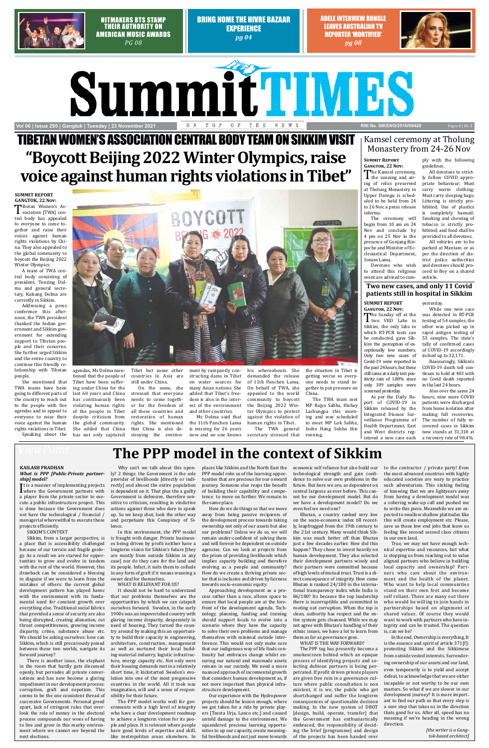Bring Home the Hivre Bazaar **EXPERIENCE** *pg 04* 



Hitmakers BTS stamp their authority on American Music Awards *Pg 08*

Adele interview bungle leaves Australian TV reporter 'mortified' *pg 08*



# **SummitTIMES Vol 06 | Issue 295 | Gangtok | Tuesday | 23 November 2021 RNI NO. And NI NO. BY NI No. SIKENG/2016/69420 RNI No. SIKENG/2016/69420**

Pages 8 | Rs. **5**

## *ViewPoint* **The PPP model in the context of Sikkim**

#### **KAILASH PRADHAN**

It is a maillet of implementing projects<br>where the Government partners with<br>a player from the private sector to exe-It is a manner of implementing projects a player from the private sector to execute a public infrastructure project. This is done because the Government does not have the technological / financial / managerial wherewithal to execute these projects efficiently.

#### *What is PPP [Public-Private partnership] model?*

#### SIKKIM'S CONTEXT

Sikkim, from a larger perspective, is a place that is accessibility challenged because of our terrain and fragile geology. As a result we are starved for opportunities to grow and evolve in tandem with the rest of the world. However, this drawback can be considered a blessing in disguise if we were to learn from the mistakes of others: the current global development pattern has played havoc with the environment with its fundamental need for constant growth over everything else. Traditional social fabrics that provided a sense of security are also being disrupted, creating alienation, cut throat competitiveness, growing income disparity, crime, substance abuse etc. We should be asking ourselves: how can Sikkim, which is still precariously poised between these two worlds, navigate its forward journey?

There is another issue, the elephant in the room that hardly gets discussed openly, but pervades all private conversations and has now become a glaring impediment in our development process: corruption, graft and nepotism. This seems to be the one consistent thread of successive Governments. Personal greed apart, lack of stringent rules that overlook the role of money in the electoral process compounds our woes of having to live and grow in this murky environment where we cannot see beyond the next elections.

Why can't we talk about this openly? 2 things: the Government is the sole provider of livelihoods [directly or indirectly] and almost the entire population is dependent on it. That plus the a guilty Government is defensive, therefore sensitive to criticism, resulting in vindictive actions against those who dare to speak up. So we keep shut, look the other way and perpetuate this Conspiracy of Silence.

In this environment, the PPP model is fraught with danger. Private businesses being driven by profit neither have a longterm vision for Sikkim's future [they are mostly from outside Sikkim in any case] nor do they care for the land and its people. Infact, it suits them to collude in any form of graft if it means weaning a sweet deal for themselves.

#### WHAT IS RELEVANT FOR US?

It should not be hard to understand that our problems themselves are the opportunities by which we can catapult ourselves forward. Sweden, in the early 1900s was an impoverished country with glaring income disparity, desperately in need of housing. They turned the country around by making this an opportunity to build their capacity in engineering, architecture, construction, management as well as nurtured their local building-material industry, logistic infrastructure, energy capacity etc. Not only were their housing demands met in a relatively short time, it kickstarted Sweden's evolution into one of the most progressive countries in the world. All it took was imagination, will and a sense of responsibility for their future.

The PPP model works well for governments with a high level of integrity who have a clear development roadmap to achieve a longterm vision for its people and place. It is relevant where people have good levels of expertise and skill, like metropolitan areas elsewhere. In

places like Sikkim and the North East the PPP model robs us of the learning opportunities that are precious for our onward journey. Someone else reaps the benefit of building their capability and competence to move on further. We remain in the same place.

How do we do things so that we move away from being passive recipients of the development process towards taking ownership not only of our assets but also our problems? Unless we do so, we will remain under-confident of solving them and will forever be dependent on outside agencies. Can we look at projects from the prism of providing livelihoods which implies capacity building and therefore evolving as a people and community? How do we create a thriving private sector that is inclusive and driven by fairness towards socio-economic equity.

The Kamsel ceremony,<br>the sunning and air-<br>ing of relics preserved ing of relics preserved at Tholung Monastery in Upper Dzongu is scheduled to be held from 24 to 26 Nov, a press release informs.

Approaching development as a process rather than a race, allows space to ensure that local people are at the forefront of the development agenda. Technology, planning, funding and training should support locals to evolve into a scenario where they have the capacity to solve their own problems and manage themselves with minimal outside interference. This would not only make sure that our indigenous way of life finds continuity but embraces change whilst ensuring our natural and manmade assets remain in our custody. We need a more nuanced approach of incremental growth that considers human development as, if not more important than physical infrastructure development.

TIBETAN WOMEN'S ASSOCIATION CENTRAL BODY TEAM ON SIKKIM VISIT **"Boycott Beijing 2022 Winter Olympics, raise voice against human rights violations in Tibet"**

Indetan Women's As-<br>sociation [TWA] cen-<br>tral body has appealed tral body has appealed to everyone to come together and raise their voices against human rights violations by China. They also appealed to the global community to boycott the Beijing 2022 Winter Olympics.

> Our experience with the Hydropower projects should be lesson enough, where we got taken for a ride by private players [Teesta Urja, Lanco etc.] and caused untold damage to the environment. We squandered precious learning opportunities to up our capacity, create meaningful livelihoods and not just move towards

economic self reliance but also build our technological strength and gain confidence to solve our own problems in the future. But here we are, as dependent on central largesse as ever before. This cannot be our development model. But do we have a development model? Do we even feel we need one?

Bhutan, a country ranked very low on the socio-economic index till recently, leapfrogged from the 19th century to the 21st century. Many would think Sikkim was much better off than Bhutan just a few decades earlier. How did this happen? They chose to invest heavily on human development. They also selected their development partners wisely and their partners were committed because of high levels of mutual trust. Trust is a direct consequence of integrity. How come Bhutan is ranked 24/180 in the international transparency index while India is 86/180? Its because the top leadership there is incorruptible and committed to rooting out corruption. When the top is clean, authority has respect and the entire system gets cleansed. While we may not agree with Bhutan's handling of their ethnic issues, we have a lot to learn from them as far as governance goes.

#### WHAT IS THE WAY FORWARD?

The PPP tag has presently become a smokescreen behind which an opaque process of identifying projects and selecting dubious partners is being perpetrated. If profit driven private players are given free rein in a governance culture where public consultation is non existent, it is we, the public who get shortchanged and suffer the longterm consequences of questionable decision making. In the new system of DBOT [design, build, operate, transfer] that the Government has enthusiastically embraced, the responsibility of deciding the brief [programme] and design of the projects has been handed over

to the contractor / private party! Even the most advanced countries with highly educated societies are wary to practice such adventurism. This sinking feeling of knowing that we are lightyears away from having a development model was a sobering wake-up call and pushed me to write this piece. Meanwhile we are expected to swallow shallow platitudes like this will create employment etc. Please, save us these low end jobs that leave us feeling like second second class citizens in our own land.

True, we may not have enough technical expertise and resources, but what is stopping us from reaching out to value aligned partners who believe in building local capacity and ownership? Partners who care about the environment and the health of the planet. Who want to help local communities stand on their own feet and become self reliant. There are many out there who would be willing to join hands in partnerships based on alignment of shared values. Of course they would want to work with partners who have integrity and can be trusted. The question is, can we be?

In the end, Ownership is everything. It is the essence and spirit of article 371[f]: protecting Sikkim and the Sikkimese from outside vested interests. Surrendering ownership of our assets and our land, even temporarily is to yield and accept defeat, to acknowledge that we are either incapable or not worthy to be our own masters. So what if we are slower in our development journey? It is more important to find our path so that every step is a sure step that takes us in the direction thats good for us. After all, speed has no meaning if we're heading in the wrong direction.

> *[the writer is a Gangtok-based architect]*

## Kamsel ceremony at Tholung Monastery from 24-26 Nov

**Summit Report Gangtok, 22 Nov:**

The ceremony will begin from 10 am on 24 Nov and conclude by 4 pm on 25 Nov in the presence of Gonjang Rinpoche and Minister of Ecclesiastical Department, Sonam Lama.

Devotees who wish to attend this religious event are advised to comply with the following guidelines. All devotees to strict-

ly follow COVID appropriate behaviour; Must carry warm clothing; Must carry sleeping bags; Littering is strictly prohibited; Use of plastics is completely banned; Smoking and chewing of tobacco is strictly prohibited; and food shall be provided to all devotees. All vehicles are to be parked at Mantam or as per the direction of district police authorities and devotees should proceed to Bey on a shared

vehicle.

### **Summit Report GANGTOK, 22 Nov:**

A team of TWA central body consisting of president, Tenzing Dolma and general secretary, Kalsang Dolma are currently in Sikkim.

Addressing a press conference this afternoon, the TWA president thanked the Indian government and Sikkim government for extending support to Tibetan people and their concerns. She further urged Sikkim and the entire country to continue this friendly relationship with Tibetan people.

She mentioned that TWA teams have been going to different parts of the country to reach out to the people with five agendas and to appeal to everyone to raise their voice against the human rights violations in Tibet.

Speaking about the



agendas, Ms Dolma mentioned that the people of Tibet have been suffer-

ing under China for the last 60 years and China has continuously been violating human rights of the people in Tibet despite criticism from the global community. She added that China has not only captured

Tibet but some other countries in Asia are still under China.

On the same, she stressed that everyone needs to come together for the freedom of all these countries and restoration of human rights. She mentioned that China is also destroying the environment by rampantly constructing dams in Tibet on water sources for many Asian nations. She added that Tibet's freedom is also in the interest of the environment and other countries.

Ms Dolma said that the 11th Panchen Lama is missing for 26 years

his whereabouts. She demanded the release of 11th Panchen Lama. On behalf of TWA, she appealed to the world community to boycott the Beijing 2022 Winter Olympics to protest against the violation of

now and no one knows secretary stressed that The TWA general

human rights in Tibet.

the situation in Tibet is getting worse so everyone needs to stand together to put pressure on China.

The TWA team met MP Rajya Sabha, Hishey Lachungpa this morning and was scheduled to meet MP Lok Sabha, Indra Hang Subba this evening.

**Two new cases, and only 11 Covid patients still in hospital in Sikkim**

**Gangtok, 22 Nov:** The Sunday off at the<br>two VRD Labs in<br>Sikkim, the only labs in Sikkim, the only labs in which RT-PCR tests can be conducted, gave Sikkim the perception of exceptionally low numbers. Only two new cases of Covid-19 were reported in the past 24 hours, but these still came at a daily test positivity rate of 1.80% since only 109 samples were

**Summit Report** yesterday.

screened yesterday. As per the Daily Report of COVID-19 in Sikkim released by the Integrated Disease Surveillance Programme of Health Department, East and West districts registered a new case each

While one new case was detected in RT-PCR testing of 54 samples, the other was picked up in rapid antigen testing of 53 samples. The state's tally of confirmed cases of COVID-19 accordingly inched up to 32,171.

Reassuringly, Sikkim's COVID-19 death toll continues to hold at 403 with no Covid death reported in the last 24 hours.

Also over the same 24 hours, nine more COVID patients were discharged from home isolation after making full recoveries. The number of fully recovered cases in Sikkim now stands at 31,318 at a recovery rate of 98.4%.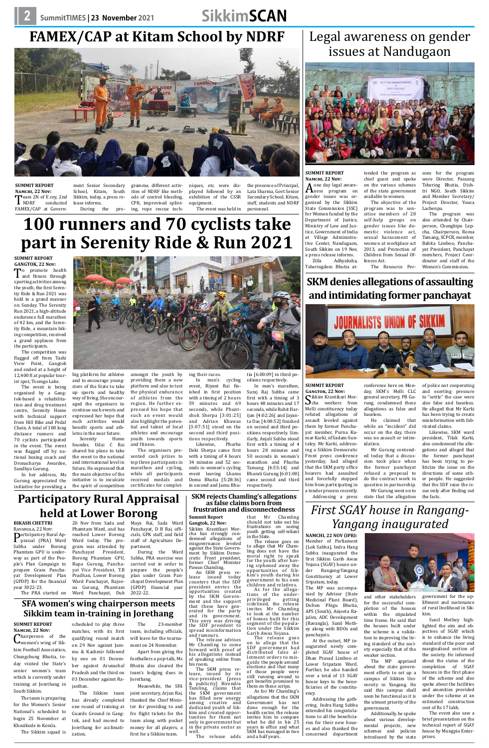# **FAMEX/CAP at Kitam School by NDRF**



**Summit Report Namchi, 22 Nov: T**eam 2N of E coy, 2nd<br>
NDRF conducted<br>
FAMEX/CAP at Govern-FAMEX/CAP at Govern-

ment Senior Secondary School, Kitam, South Sikkim, today, a press release informs.<br>During the During the pro-

gramme, different activities of NDRF like methods of control bleeding, CPR, improvised splinting, rope rescue tech-

niques, etc. were displayed followed by an exhibition of the CSSR equipment. The event was held in

the presence of Principal, Lata Sharma, Govt Senior Secondary School, Kitam, staff, students and NDRF personnel.

# Legal awareness on gender issues at Nandugaon



**SUMMIT REPORT Namchi, 22 Nov:**

A one day legal aware-<br>gender issues was orgender issues was organized by the Sikkim State Commission [SSC] for Women funded by the Department of Justice, Ministry of Law and Justice, Government of India at Village Administrative Center, Nandugaon, South Sikkim on 19 Nov, a press release informs. Adhyaksha,

Tsheringdem Bhutia at-

tended the program as

To promote health<br>and fitness through<br>sporting activities among sporting activities among the youth, the first Serenity Ride & Run 2021 was held in a grand manner on Sunday. The Serenity Run 2021, a high-altitude endurance full marathon of 42 km, and the Serenity Ride, a mountain biking competition, received a grand applause from the participants.

chief guest and spoke on the various schemes of the state government available to women. The objective of the

program was to sensitise members of 20 self-help groups on gender issues like domestic violence act, sexual harassment of women at workplace act 2013, and Protection of Children from Sexual Offences Act.

The Resource Per-



sons for the program

were Director, Passang Tshering Bhutia, Dishtri NGO, South Sikkim and Member Secretary/ Project Director, Yousa Lachenpa.

The program was also attended by Chairperson, Chungkipu Lepcha, Chairperson, Roma Tamang, SCPCR, member, Babita Limboo, Panchayat President, Panchayat members, Project Coordinator and staff of the Women's Commission.

# **100 runners and 70 cyclists take part in Serenity Ride & Run 2021**

**Summit Report GANGTOK, 22 Nov:** 

The competition was flagged off from Tashi View Point, Gangtok and ended at a height of 12,400 ft at popular tourist spot, Tsomgo Lake.

The event is being organised by a Gangtok-based a rehabilitation and drug treatment centre, Serenity Home with technical support from Hill Bike and Pedal Chain. A total of 100 long distance runners and 70 cyclists participated in the event. The event was flagged off by na-

tional boxing coach and Dronacharya Awardee, Sandhya Gurung.

In her address, Ms Gurung appreciated the initiative for providing a

Likewise, SKM ward president, Tilak Karki, also condemned the allegations and alleged that the former panchayat has been trying to politicize the issue on the directions of some other people. He suggested that the SDF raise the issue only after finding out<br>the facts.

## **Participatory Rural Appraisal held at Lower Borong**

the event to the national



big platform for athletes and to encourage youngsters of the State to take up sports and healthy way of living. She encouraged the organisers to continue such events and expressed her hope that such activities would benefit sports and athletes in the near future.<br>Serenity Home Serenity amongst the youth by providing them a new platform and also to test the physical endurance of athletes from the region. He further expressed his hope that such an event would also highlight the potential and talent of local athletes and encourage youth towards sports

future. He expressed that the main objective of the initiative is to inculcate the spirit of competition

founder, Udai C Rai shared his plans to take and fitness. The organisers pre-

and international level in top three participants in sented cash prizes to marathon and cycling, while all participants received medals and certificates for complet-

ing their races.

In men's cycling event, Riyant Rai finished in first position with a timing of 2 hours 59 minutes and 69 seconds, while Phuntshok Sherpa [3:01:25] and Adrian Khawas [3:07:51] stood on the second and third positions respectively.

Likewise, Phurba Deki Sherpa came first

with a timing of 4 hours 34 minutes and 52 seconds in women's cycling event leaving Lhamu Doma Bhutia [5:28:36] in second and Jamu Bhu-

tia [6:00:09] in third positions respectively.

In men's marathon, Suraj Raj Subba came first with a timing of 3 hours 48 minutes and 17 seconds, while Rohit Harijan [4:02:26] and Jayanta Das [4:08:52] finished on second and third positions respectively. Similarly, Anjali Subba stood first with a timing of 4 hours 28 minutes and 50 seconds in women's marathon and Phurba Tamang [4:55:14] and Bharati Gurung [6:01:00] came second and third respectively.

## **SKM denies allegations of assaulting and intimidating former panchayat**

An SKM press re-<br>lease issued today counters that the SDF president envies the opportunities created<br>by the SKM Government and the support<br>that these have generated for the party and its government. This envy was driving the SDF president to spread misinformation and rumours.

ing a Sikkim Democratic

The SKM press re-<br>lease, issued by its vice-president [press & publicity] Birendra Tamling, claims that the SKM government has filled new energy among creative and<br>dedicated youth of Sikkim and created oppor-<br>tunities for them not only in government but in the private sector as well.

**Summit Report** GANGTOK, 22 NOV:<br> **C**ikkim Krantikari Mor-Sikkim Krantikari Mor-<br>Scha workers from<br>Melli constituency today Melli constituency today refuted allegations of assault leveled against them by former Panchayat member, Purna Kuconference here on Monday, SKM's Melli CLC general secretary, PB Gurung, condemned these baseless.

Front press conference yesterday, had alleged that the SKM party office bearers had assaulted and forcefully stopped him from participating in a tender process recently.

mar Karki, of Sadam-Suntaley. Mr Karki, addressallegations as false and He claimed that while an "incident" did occur on the day, there was no assault or intimidation.

opportunities of Sirportunities of Sirportunities of Sirportunities of Sirportunities of Sirportunities and Si government to his own children and relatives.<br>As for the allega-As for the allega-<br>tions of the under-<br>privileged getting sidelined, the release invites Mr Chamling to look at the number of homes built for this tion under the Sikkim Garib Awas Yojana. The release goes

his room.<br>The SKM press re-

Addressing a press today that a discussion took place when the former panchayat refused a proposal to do the contract work in question in partnership. Mr Gurung went on to state that the allegation

Mr Gurung contend-

Chairperson of the<br>women's wing of Sikkim Football Association, Chungchung Bhutia, today visited the State's senior women's team which is currently under training at Jorethang in South Sikkim.

of police not cooperating and exerting pressure to "settle" the case were also false and baseless. He alleged that Mr Karki has been trying to create misinformation with fabricated claims.

#### **Bikash Chettri**

Ravangla, 22 Nov: **Participatory Rural Ap-<br>
praisal (PRA) Ward<br>
Sabha under Borong** Sabha under Borong Phamtam GPU is underway as part of the People's Plan Campaign to prepare Gram Panchayat Development Plan (GPDP) for the financial year 3022-23.

The PRA started on

20 Nov from Sada and Phamtam Ward, and has reached Lower Borong Ward today. The program was attended by Panchayat President, Borong Phamtam GPU, Rupa Gurung, Panchayat Vice President, T.B Pradhan, Lower Borong Ward Panchayat, Rajee-Maya Rai, Sada Ward Panchayat, D B Rai, officials, GPK staff, and field staff of Agriculture Department. During the Ward Sabha, PRA exercise was carried out in order to prepare the people's plan under Gram Panchayat Development Plan

*First SGAY house in Rangang-Yangang inaugurated*

**Namchi, 22 Nov (IPR):** 

Member of Parliament (Lok Sabha), Indra Hang Subba inaugurated the first Sikkim Garib Awas Yojana (SGAY) house un-Rangang-Yangang Constituency at Lower Sripatam, today.

The MP was accompanied by Advisor (State Medicinal Plant Board), Dichen Phigu Bhutia, APS (South), Anjeeta Rajalim, ADC Development (Ravangla), Sunil Mothey along with BDOs and

panchayats.

At the outset, MP inaugurated newly completed SGAY house of Dhan Prasad Limboo at Lower Sripatam Ward. Further, he also handed over a total of 13 SGAY house keys to the beneficiaries of the constitu-

Addressing the gathering, Indra Hang Subba extended his congratulations to all the beneficiaries for their new houses and also thanked the concerned department

and other stakeholders for the successful completion of the houses within the stipulated time frame. He said that the houses built under the scheme is a validation to improving the living standard of the society especially that of the weaker section.

The MP apprised about the state government efforts to set up a campus of Sikkim University in Yangang. He said this campus shall soon be functional as it is the utmost priority of the

government.

Additionally, he spoke about various developmental projects, new schemes and policies introduced by the state

government for the upliftment and sustenance of rural livelihood in Sikkim.

Sunil Mothey highlighted the aim and objectives of SGAY which is to enhance the living standard of the poor and marginalised section of the society. He informed about the status of the completion of SGAY houses in the first phase of the scheme and also spoke about the facilities and amenities provided under the scheme at an estimated construction

cost of Rs 17 lakh. The event also saw a brief presentation on the technical report of SGAY house by Mungpia Enterprises.

na Gurung, Phamtam Ward Panchayat, Duk (GPDP) financial year 2022-22. **SFA women's wing chairperson meets Sikkim team in-training in Jorethang**

### **SKM rejects Chamling's allegations as false claims born from frustration and disconnectedness**

**Summit Report Gangtok, 22 Nov:** 

Sikkim Krantikari Mor- cha has strongly con- demned allegations of misgovernance leveled against the State Govern-<br>ment by Sikkim Democratic Front president,<br>former Chief Minister<br>Pawan Chamling. Pawan Chamling.

> ency. on to allege that the SDF government had<br>distributed false allotment orders to mis-<br>guide the people around elections and that many of those people were still running around to get benefits promised to As for Mr Chamling's

The release advises Mr Chamling to come forward with proof of his allegations instead of speaking online from

The release adds

# that Mr Chamling

should not take out his frustrations on seeing youth getting self-reliant

The release goes on<br>to allege that Mr Chamling does not have the moral right to speak<br>for the youth after having siphoned away the<br>opportunities of Sik-

in the State.

them on these scrips.

allegations that the SKM Government has not done enough for the health sector, the release invites him to compare what he did in his 25 years in office and what SKM has managed in two

and a half years.

#### **Summit Report Namchi, 22 Nov:**

The team is preparing for the Women's Senior National's scheduled to begin 25 November at Khozikode in Kerala.

The Sikkim squad is

scheduled to play three matches, with its first qualifying round match on 29 Nov against Jammu & Kashmir followed by one on 01 December against Arunachal Pradesh and the third on 03 December against Rajasthan.

The Sikkim team has already completed one round of training at Guards Ground in Gangtok, and had moved to Jorethang for acclimatization.

The 23-member team, including officials, will leave for the tournament on 24 November. Apart from giving the footballers a pep-talk, Ms Bhutia also cleared the team's lodging dues in Jorethang. Meanwhile, the SFA

> joint secretary, Arjun Rai, thanked the Chief Minister for providing to and fro flight tickets for the team along with pocket money for all players, a first for a Sikkim team.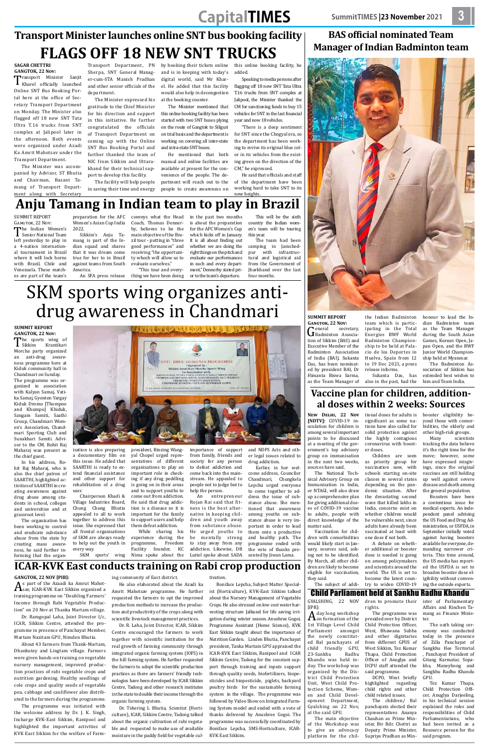# **CapitalTIMES SummitTIMES |23 November 2021 3**

### **BAS official nominated Team Manager of Indian Badminton team**



**SUMMIT REPORT Gangtok, 22 Nov:**

General secretary,<br> **G** Badminton Association of Sikkim (BAS) and tion of Sikkim (BAS) and Executive Member of the Badminton Association of India (BAI), Sukanta Das, has been nominated by president BAI, Dr Himanta Biswa Sarma,

as the Team Manager of

the Indian Badminton team which is participating in the Total Energies BWF World Badminton Championship to be held at Palacio de los Deportes in Huelva, Spain from 12 to 19 Dec 2021, a press release informs.

**GANGTOK, 22 Nov:**<br>**T**ransport Minister Sanjit **T**ransport Minister Sanjit<br>
Kharel officially launched<br>
Online SNT Bus Booking Por Online SNT Bus Booking Portal here at the office of Secretary Transport Department on Monday. The Minister also flagged off 18 new SNT Tata Ultra T.16 trucks from SNT complex at Jalipool later in the afternoon. Both events were organized under Azadi Ka Amrit Mahotsav under the Transport Department.

> honour to lead the Indian Badminton team as the Team Manager during the South Asian Games, Korean Open, Japan Open, and the BWF Junior World Championship held at Myanmar. The Badminton As-

Sukanta Das, has also in the past, had the sociation of Sikkim has extended best wishes to him and Team India.

# **Transport Minister launches online SNT bus booking facility FLAGS OFF 18 NEW SNT TRUCKS**

## **SAGAR CHETTRI**

The Minister was accompanied by Advisor, ST Bhutia and Chairman, Basant Tamang of Transport Department along with Secretary

Transport Department, PN Sherpa, SNT General Manager-cum-STA Manish Pradhan and other senior officials of the department.

Summit Report  $G$ ANGTOK, 22 Nov:<br>
The Indian Women's

I The Indian Women's<br>
Senior National Team<br>
left yesterday to play in left yesterday to play in a 4-nation international tournament in Brazil where it will lock horns with Brazil, Chile and Venezuela. These matches are part of the team's

The Minister expressed his gratitude to the Chief Minister for his direction and support in this initiative. He further congratulated the officials of Transport Department on coming up with the Online SNT Bus Booking Portal and further thanked the team of NIC from Sikkim and Uttarakhand for their technical support to develop this facility.

The facility will help people in saving their time and energy

by booking their tickets online and is in keeping with today's digital world, said Mr Kharel. He added that this facility would also help in decongestion at the booking counter.

The Minister mentioned that this online booking facility has been started with two SNT buses plying on the route of Gangtok to Siliguri on trial basis and the department is working on covering all inter-state and intra-state SNT buses.

He mentioned that both manual and online facilities are available at present for the convenience of the people. The department will reach out to the people to create awareness on

this online booking facility, he added.

Speaking to media persons after flagging off 18 new SNT Tata Ultra T.16 trucks from SNT complex at Jalipool, the Minister thanked the CM for sanctioning funds to buy 15 vehicles for SNT in the last financial year and now 18 vehicles.

"There is a deep sentiment for SNT since the Chogyal era, so the department has been working to revive its original blue color in its vehicles from the existing green on the direction of the CM," he expressed.

> scientists tracking the data believe it's the right time for the

He said that officials and staff of the department have been working hard to take SNT to its new heights.

# **Anju Tamang in Indian team to play in Brazil**

lation. ve been ssue for An indeadvising Drug Ad-SFDA, in lly voted boosters yone, dewer criteria. This time around, the US media has reported the USFDA is set to broaden booster dose eligibility without convening the outside experts.

**The sports wing of**<br>
Sikkim Krantikari<br>
Morcha party organized Sikkim Krantikari an anti-drug awareness programme here at Kiduk community hall in Chandmari on Sunday.

preparation for the AFC conveys what the Head Women's Asian Cup India 2022.

Sikkim's Anju Tamang is part of the Indian squad and shares that it was dream come true for her to in Brazil against teams from South America.

Coach, Thomas Dennerby, believes to be the main objective of the Brazil tour - putting in "three good performances" and receiving "the opportunity whoch will allow us to evaluate ourselves."

An SFA press release "This tour and everything we have been doing

in the past two months is about the preparation for the AFC Women's Cup which kicks off in January. It is all about finding out whether we are doing the right things on the pitch and evaluate our performances in each and every department," Dennerby stated prior to the team's departure.

This will be the sixth country the Indian women's team will be touring this year.

The team had been camping in Jamshedpur with infrastructural and logistical aid from the Government of Jharkhand over the last four months.

### **Vaccine plan for children, additional doses within 2 weeks: Sources**

**New Delhi, 22 Nov [NDTV]:** COVID-19 inoculation for children is among several important points to be discussed at a meeting of the government's top advisory

ing not to be identified. By March, all other children are likely to become eligible for vaccination, they said. The subject of addi-

tional doses for adults is significant as some nations have also called for solid protection against the highly contagious coronavirus with booster doses.

dose is needed is going on among policymakers and scientists around the world. The US is set to become the latest country to widen COVID-19

booster eligibility beyond those with comorbidities, the elderly and other high-risk groups.

# SKM sports wing organizes antidrug awareness in Chandmari

#### **Summit Report GANGTOK, 22 Nov:**

| the chief guest.            | a documentary film on     | yal Chopel urged repre-    | from family, friends and   | er legal issues related to | group on immunisation      |                           | Children are seen move; however, some |
|-----------------------------|---------------------------|----------------------------|----------------------------|----------------------------|----------------------------|---------------------------|---------------------------------------|
| In his address, Ro-         | this issue. He added that | sentatives of different    | society for any person     | drug addiction.            | in the next two weeks,     | as priority group for     | have expressed misgiv-                |
| hit Raj Maharaj, who is     | SAARTHI is ready to ex-   | organisations to play an   | to defeat addiction and    | Earlier, in her wel-       | sources have said.         | vaccination now, with     | ings, since the original              |
| also the chief patron of    | tend financial assistance | important role in check-   | come back into the main-   | come address, Councilor    | The National Tech-         | schools starting on-site  | vaccines are still holding            |
| SAARTHI, highlighted ac-    | and other support for     | ing if any drug peddling   | stream. He appealed to     | Chandmari,<br>Chungkela    | nical Advisory Group on    | classes in several states | up well against severe                |
| tivities of SAARTHI in cre- | rehabilitation of a drug  | is going on in their areas | people not to judge but to | Lepcha urged everyone      | Immunisation in India,     | depending on the pan-     | disease and death among               |
| ating awareness against     | user.                     | and to support youths to   | help the person.           | to come together to ad-    | or NTAGI, will also draw   | demic situation. After    | the general population.               |
| drug abuse among stu-       | Chairperson Khadi &       | come out from addiction.   | entrepreneur<br>An         | dress the issue of sub-    | up a comprehensive plan    | the devastating second    | Boosters have been                    |
| dents in school, colleges   | Village Industries Board, | He said that drug addic-   | Rojan Rai said that fit-   | stance abuse. She men-     | for giving additional dos- | wave that killed lakhs in | contentious issue for<br>a            |
| and universities and at     | Chung Chung Bhutia        | tion is a disease so it is | ness is the best alter-    | tioned that awareness      | es of COVID-19 vaccine     | India, concerns exist on  | medical experts. An inde-             |
| grassroot level.            | appealed to all to work   | important for the family   | native in keeping chil-    | among youths on sub-       | to adults, people with     | whether children would    | pendent panel advising                |
| The organization has        | together to address this  | to support users and help  | dren and youth away        | stance abuse is very im-   | direct knowledge of the    | be vulnerable next, since | the US Food and Drug Ad-              |
| been working to control     | issue. She expressed that | them defeat addiction.     | from substance abuse.      | portant in order to lead   | matter said.               | adults have already been  | ministration, or USFDA, in            |
| and eradicate substance     | all frontal organisations | While sharing his          | He urged youths to         | them onto a productive     | Vaccination for chil-      | vaccinated at least with  | September initially voted             |
| abuse from the state by     | of SKM are always ready   | experience during the      | mentally strong<br>be      | and healthy path. The      | dren with comorbidities    | one dose if not both.     | against having boosters               |
| creating mass aware-        | to help out the youth in  | programme, Freedom         | to stay away from any      | programme ended with       | would likely start in Jan- | A debate on wheth-        | available for everyone, de-           |
| ness, he said further in-   | every way.                | founder, KC<br>Facility    | addiction. Likewise, DB    | the vote of thanks pre-    | uary, sources said, ask-   | er additional or booster  | manding narrower cri-                 |
| forming that the organ-     | SKM sports'<br>wing       | Nima spoke about the       | Luitel spoke about SADA    | sented by Jiwan Lama.      | ing not to be identified.  | dose is needed is going   | teria. This time around,              |

The programme was organized in association with Kalyan Samaj, Vatika Samaj, Gyonten Yargay Kiduk Dromo [Thompoo and Khumpo] Khiduk, Sangam Samiti, Saathi Group, Chandmari Women's Association, Chandmari Sporting Club and Sunakhari Samiti. Advisor to the CM, Rohit Raj Maharaj was present as



isation is also preparing president, Rinzing Wang-importance of support and NDPS Acts and oth-

### Child Parliament held at Sankhu Radhu Khandu

Gyalshing, 22 Nov [IPR]:

A day long workshop  $\boldsymbol{\Lambda}$  on formation of the 1st Village Level Child Parliament amongst the newly constituted Bal panchayats of<br>child friendly GPU. child friendly GPU,<br>23-Sankhu Radhu 23-Sankhu Khandu was held today. The workshop was organized by the District Child Protection Unit, West Child Protection Scheme, Women and Child Development Department, Gyalshing on 22 Nov, at the said GPU.

The main objective of the Workshop was to give an advocacy platform for the chilrights.

Child Protection Officer, West, Bhawana Subba and other dignitaries from different GPUS of West Sikkim, Tez Kumar Thapa, Child Protection Officer of Anuglya and DCPU staff attended the

said programme.

DCPO, West briefly

dren to promote their The programme was presided over by District ister of Parliamentary Affairs and Rinchen Tamang as Finance Minister.

child related issues.

highlighted regarding child rights and other The children/ Bal panchayats elected their representatives Ananya Chauhan as Prime Minister, Bir Bdr. Chettri as Deputy Prime Minister, Supriya Pradhan as Min-Tez Kumar Thapa, Child Protection Officer, Anuglya Darjeeling, in his technical session explained the roles and responsibilities of Child Parliamentarians, who had been invited as a Resource person for the said program.

The oath taking ceremony was conducted today in the presence of Zilla Panchayat of Sangkhu Hee Teritorial , Panchayat President of Gitang Karmatar, Sopakha, Maneybong and Sangkhu Radhu Khandu GPU.

### **ICAR-KVK East conducts training on Rabi crop production**

#### **Gangtok, 22 Nov [PIB]:**

As part of the Azaadi ka Amrut Mahot-sav, ICAR-KVK East Sikkim organized a training programme on "Doubling Farmers' Income through Rabi Vegetable Production" on 20 Nov at Thanka Martam village.

Dr. Ramgopal Laha, Joint Director I/c, ICAR, Sikkim Centre, attended the programme in presence of Panchayat Member, Martam Nazitam GPU, Nimden Bhutia.

About 43 farmers from Thank-Martam, Dhankutey and Lingtam village. Farmers were given hands-on training on vegetable nursery management, improved production practices of rabi vegetable crops and nutrition gardening. Healthy seedlings of cole crops and quality seeds of vegetable pea, cabbage and cauliflower also distributed to the farmers during the programme.

The programme was initiated with the welcome address by Dr. J. K. Singh, Incharge KVK-East Sikkim, Ranipool and highlighted the important activities of KVK East Sikkim for the welfare of Farming community of East district.

He also elaborated about the Azadi ka Amrit Mahotsav programme. He further requested the farmers to opt the improved production methods to increase the production and productivity of the crops along with scientific livestock management practices.

Dr. R. Laha, Joint Director, ICAR, Sikkim Centre encouraged the farmers to work together with scientific institution for the real growth of farming community through integrated organic farming system (IOFS) in the hill farming system. He further requested the farmers to adopt the scientific production practices as there are farmers' friendly technologies have been developed by ICAR Sikkim Centre, Tadong and other research institutes in the state to double their income through the organic farming system.

Dr. Tshering L Bhutia, Scientist (Horticulture), ICAR, Sikkim Centre, Tadong talked about the organic cultivation of rabi vegetable and requested to make use of available moisture in the paddy field for vegetable cul-

#### tivation.

Boniface Lepcha, Subject Matter Specialist (Horticulture), KVK-East Sikkim talked about the Nursery Management of Vegetable Crops. He also stressed on low cost water harvesting structure Jalkund for life saving irrigation during winter season. Anushree Gogoi, Programme Assistant (Home Science), KVK East Sikkim taught about the importance of Nutrition Garden. Linden Bhutia, Panchayat president, Tanka Martam GPU appraised the ICAR-KVK East Sikkim, Ranipool and ICAR Sikkim Centre, Tadong for the constant support through training and inputs support through quality seeds, biofertilizers, biopesticides and biopesticide, piglets, backyard poultry birds for the sustainable farming system in the village. The programme was followed by Video Show on Integrated Farming System model and ended with a vote of thanks delivered by Anushree Gogoi. The programme was successfully coordinated by Boniface Lepcha, SMS-Horticulture, ICAR-KVK East Sikkim.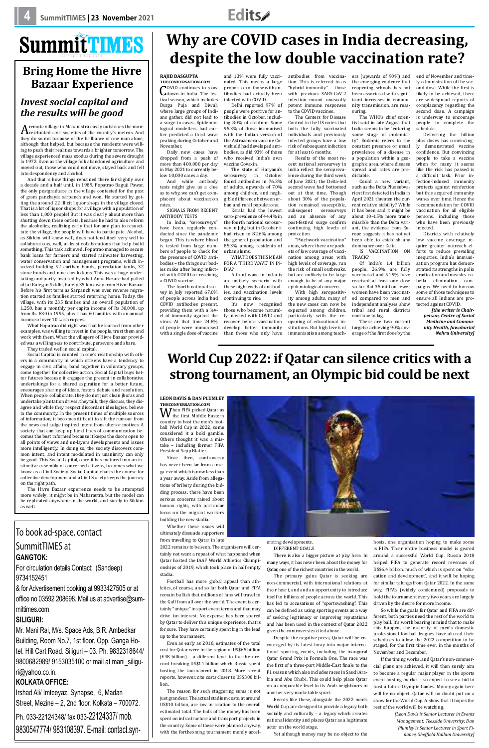

## To book ad-space, contact SummitTimes at **Gangtok:**

For circulation details Contact: (Sandeep) 9734152451

& for Advertisement booking at 9933427505 or at office no 03592 208698. Mail us at advertise@summittimes.com

### **Siliguri:**

Mr. Mani Rai, M/s. Space Ads, B.R. Ambedkar Building, Room No.7, 1st floor. Opp. Ganga Hotel. Hill Cart Road. Siliguri – 03. Ph. 9832318644/ 9800682989/ 9153035100 or mail at mani\_siliguri@yahoo.co.in.

### **Kolkata office:**

Irshad Ali/ Imteeyaz. Synapse, 6, Madan Street, Mezine – 2, 2nd floor. Kolkata – 700072. Ph. 033-22124348/ fax 033-22124337/ mob. 9830547774/ 983108397. E-mail: contact.syn-

A remote village in Maharastra easily outshines the more<br>they do so not because of the brilliance of one man alone, they do so not because of the brilliance of one man alone, although that helped, but because the residents were willing to push their realities towards a brighter tomorrow. The village experienced mass exodus during the severe drought in 1972. Even as the village folk abandoned agriculture and moved out, those who could not move, stayed back and fell into despondency and alcohol.

# **Bring Home the Hivre Bazaar Experience**

### *Invest social capital and the results will be good*

And that is how things remained there for slightly over a decade and a half until, in 1989, Popatrao Baguji Pawar, the only postgraduate in the village contested for the post of gram panchayat sarpanch and won. He started by getting the around 22 illicit liquor shops in the village closed. That is a lot of liquor shops for a village with a population of less than 1,000 people! But it was clearly about more than shutting down these outlets, because he had to also reform the alcoholics, realizing early that for any plan to resuscitate the village, the people will have to participate. Alcohol, as Sikkim will know well, does not lend itself very well to collaborations, well, at least collaborations that help build something. This task achieved, Popatrao managed to secure bank loans for farmers and started rainwater harvesting, water conservation and management programs, which involved building 52 earthen bunds, percolation tanks, 32 stone bunds and nine check dams. This was a huge undertaking and partly inspired by what Anna Hazare had pulled off at Ralegan Siddhi, barely 35 km away from Hivre Bazaar. Before his first term as Sarpanch was over, reverse migration started as families started returning home. Today, the village, with its 235 families and an overall population of 1,250, has a monthly per capita income of Rs 30,000, up from Rs. 830 in 1995, plus it has 60 families with an annual income of over 10 Lakh rupees.

What Popatrao did right was that he learned from other examples, was willing to invest in the people, trust them and work with them. What the villagers of Hivre Bazaar provided was a willingness to contribute, persevere and share.

They traded well in social capital.

Social Capital is counted in one's relationship with others in a community in which citizens have a tendency to engage in civic affairs, band together in voluntary groups, come together for collective action. Social Capital buys better futures because it engages the present in collaborative undertakings for a shared aspiration for a better future, encourages sharing of ideas, fosters debate and resolution. When people collaborate, they do not just clean jhoras and undertake plantation drives, they talk, they discuss, they disagree and while they respect discordant ideologies, believe in the community. In the present times of multiple sources of information, it becomes difficult to sift the rumour from the news and judge inspired intent from ulterior motives. A society that can keep up lucid lines of communication becomes the best informed because it keeps the doors open to all points of views and un-layers developments and issues more intelligently. In doing so, the society discovers common intent, and intent modulated in unanimity can only

be good. This Social Capital, once it has matured into an instinctive assembly of concerned citizens, becomes what we know as a Civil Society. Social Capital charts the course for collective development and a Civil Society keeps the journey on the right path.

The Hivre Bazaar experience needs to be attempted more widely; it might be in Maharastra, but the model can be replicated anywhere in the world, and surely in Sikkim as well.

# **Why are COVID cases in India decreasing, despite the low double vaccination rate?**

### **Rajib Dasgupta**

**theconversation.com COVID continues to slow<br>down in India. The fes-**<br>tival season, which includes tival season, which includes Durga Puja and Diwali where large groups of Indians gather, did not lead to a surge in cases. Epidemiological modellers had earlier predicted a third wave peaking during October and November.

Daily new cases have dropped from a peak of more than 400,000 per day in May 2021 to currently below 10,000 cases a day.

And while antibody tests might give us a clue as to why, we can't get complacent about vaccination rates.

SIGNALS FROM RECENT ANTIBODY TESTS

In India, "serosurveys" have been regularly conducted since the pandemic began. This is where blood is tested from large numbers of people to check for the presence of COVID antibodies – the things our bodies make after being infected with COVID or receiving a COVID vaccine.

**W** the first Middle Eastern<br>country to host the men's footcountry to host the men's football World Cup in 2022, some considered it a bold gamble. Others thought it was a mistake – including former FIFA President Sepp Blatter.



The fourth national survey in July reported 67.6% of people across India had COVID antibodies present, providing them with a level of immunity against the virus. At that time 24.8% of people were immunised with a single dose of vaccine

and 13% were fully vaccinated. This means a large proportion of those with antibodies had actually been infected with COVID.

Delhi reported 97% of people were positive for antibodies in October, including 80% of children. Some 95.3% of those immunised with the Indian version of the Astrazeneca vaccine Covishield had developed antibodies, as did 93% of those who received India's own vaccine Covaxin.

The state of Haryana's serosurvey in October found antibodies in 76.3% of adults, upwards of 70% among children, and negligible difference between urban and rural populations.

Kerala had the lowest sero-prevalence of 44.4% in the fourth national serosurvey in July, but in October it had risen to 82.6% among the general population and 85.3% among residents of urban slums.

WHAT DOES THIS MEAN FOR A "THIRD WAVE" IN IN-DIA?

A third wave in India is an unlikely scenario with these high levels of antibodies, and vaccination levels continuing to rise.

It's now recognised those who become naturally infected with COVID and recover before vaccination develop better immunity than those who only have

antibodies from vaccination. This is referred to as "hybrid immunity" – those with previous SARS-CoV-2 infection mount unusually potent immune responses to the COVID vaccines.

The Centers for Disease Control in the US notes that both the fully vaccinated individuals and previously infected groups have a low risk of subsequent infection for at least 6 months.

Results of the most recent national serosurvey in India reflect the seroprevalence during the third week of June 2021; the Delta-led second wave had bottomed out at that time. Though about 30% of the population remained susceptible, subsequent serosurveys and an absence of any post-festival surge confirm continuing high levels of protection.

"Patchwork vaccination" areas, where there are pockets of low coverage of vaccination among areas with high levels of coverage, run the risk of small outbreaks, but are unlikely to be large enough to be of any major epidemiological concern.

With high seropositivity among adults, many of the new cases can now be expected among children, particularly with the reopening of educational institutions. But high levels of immunisation among teach-

ers (upwards of 90%) and the emerging evidence that reopening schools has not been associated with significant increases in community transmission, are reassuring.

The WHO's chief scientist said in late August that India seems to be "entering some stage of endemicity". Endemic refers to the constant presence or usual prevalence of a disease in a population within a geographic area, where disease spread and rates are predictable.

Could a new variant, such as the Delta Plus subvariant first detected in India in April 2021 threaten the current relative stability? While it has been said it might be about 10–15% more transmissible than the Delta variant, the evidence from Europe suggests it has not yet been able to establish any dominance over Delta.

IS VACCINATION ON TRACK?

Of India's 1.4 billion people, 26.9% are fully vaccinated and 54.9% have received at least one dose so far. But 35 million fewer women have been vaccinated compared to men and independent analyses show tribal and rural districts continue to lag.

There are two current targets: achieving 90% coverage of the first dose by the

end of November and timely administration of the second dose. While the first is likely to be achieved, there are widespread reports of complacency regarding the second dose. A campaign is underway to encourage people to complete the schedule.

Delivering the billion plus doses has convincingly demonstrated vaccine confidence. But convincing people to take a vaccine when for many it seems like the risk has passed is a difficult task. Prior infection-induced immunity protects against reinfection but this acquired immunity wanes over time. Hence the recommendation for COVID vaccination for all eligible persons, including those who have been previously infected.

Districts with relatively low vaccine coverage require greater outreach efforts to reduce prevailing inequities. India's immunisation program has demonstrated its strengths in polio eradication and measles-rubella elimination campaigns. We need to borrow some of those techniques to ensure all Indians are protected against COVID.

*[the writer is Chairperson, Centre of Social Medicine and Community Health, Jawaharlal Nehru University]*

# **World Cup 2022: if Qatar can silence critics with a strong tournament, an Olympic bid could be next**

**Leon Davis & Dan Plumley theconversation.com**

Since then, controversy has never been far from a mega-event which is now less than a year away. Aside from allegations of bribery during the bidding process, there have been serious concerns raised about human rights, with particular focus on the migrant workers building the new stadia.

Whether these issues will ultimately dissuade supporters from travelling to Qatar in late

2022 remains to be seen. The organisers will certainly not want a repeat of what happened when Qatar hosted the IAAF World Athletics Championships of 2019, which took place in half empty stadia.

Football has more global appeal than athletics, of course, and so far both Qatar and FIFA remain bullish that millions of fans will travel to the Gulf from all over the world. The event is certainly "unique" in sport event terms and that may drive fan interest. No expense has been spared by Qatar to deliver this unique experience, that is for sure. They have certainly spent big in the lead up to the tournament.

Even as early as 2010, estimates of the total cost for Qatar were in the region of US\$65 billion (£48 billion) – a different level to the then record-breaking US\$14 billion which Russia spent hosting the tournament in 2018. More recent reports, however, cite costs closer to US\$300 billion.

The reason for such staggering sums is not just grandeur. The actual stadium costs, at around US\$10 billion, are low in relation to the overall estimated total. The bulk of the money has been spent on infrastructure and transport projects in the country. Some of these were planned anyway, with the forthcoming tournament merely accel-

### erating developments. DIFFERENT GOALS

There is also a bigger picture at play here. In many ways, it has never been about the money for Qatar, one of the richest countries in the world.

The primary gains Qatar is seeking are non-commercial, with international relations at their heart, and and an opportunity to introduce itself to billions of people across the world. This has led to accusations of "sportswashing". This can be defined as using sporting events as a way of seeking legitimacy or improving reputations and has been used in the context of Qatar 2022 given the controversies cited above.

Despite the negative press, Qatar will be encouraged by its latest foray into major international sporting events, including the inaugural Qatar Grand Prix in Formula One. The race was the first of a three-part Middle-East finale to the F1 season which also includes races in Saudi Arabia and Abu Dhabi. This could help place Qatar on a comparable level to its Arab neighbours in another very marketable sport.

Events like these, alongside the 2022 men's World Cup, are designed to provide a legacy both socially and culturally – a legacy which creates national identity and places Qatar as a legitimate actor on the world stage.

Yet although money may be no object to the

hosts, one organisation hoping to make some is FIFA. Their entire business model is geared around a successful World Cup. Russia 2018 helped FIFA to generate record revenues of US\$6.4 billion, much of which is spent on "education and development", and it will be hoping for similar takings from Qatar 2022. In the same way, FIFA's (widely condemned) proposals to hold the tournament every two years are largely driven by the desire for more income.

So while the goals for Qatar and FIFA are different, both parties need the rest of the world to play ball. It's worth bearing in mind that to make this happen, the majority of men's domestic professional football leagues have altered their schedules to allow the 2022 competition to be staged, for the first time ever, in the months of November and December.

If the timing works, and Qatar's non-commercial plans are achieved, it will then surely aim to become a regular major player in the sports event hosting market – so expect to see a bid to host a future Olympic Games. Money again here will be no object. Qatar will no doubt put on a show for the World Cup. A show that it hopes the rest of the world will be watching.

> *[Leon Davis is Senior Lecturer in Events Management, Teesside University; Dan Plumley is Senior Lecturer in Sport Finance, Sheffield Hallam University]*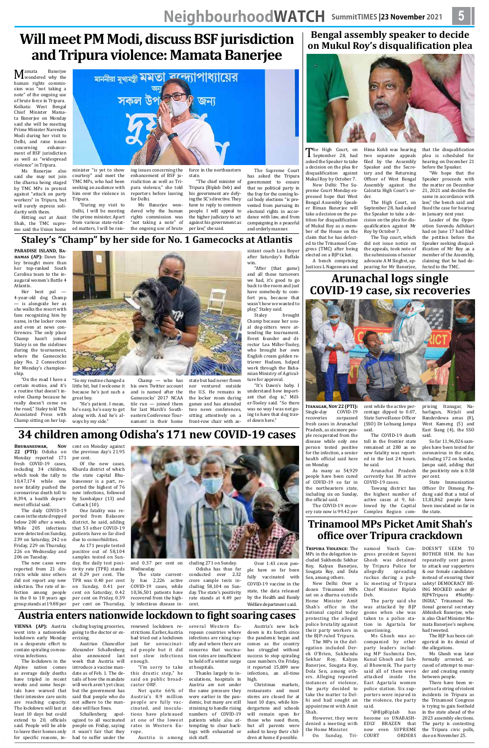# **Will meet PM Modi, discuss BSF jurisdiction and Tripura violence: Mamata Banerjee**

**M**amata Banerjee<br>human rights commishuman rights commission was "not taking a note" of the ongoing use of brute force in Tripura. Kolkata: West Bengal Chief Minister Mamata Banerjee on Monday said she will be meeting Prime Minister Narendra Modi during her visit to Delhi, and raise issues<br>concerning enhanceconcerning ment of BSF jurisdiction as well as "widespread violence" in Tripura.

Ms Banerjee also said she may not join the dharna being staged by TMC MPs in protest against "attack on party workers" in Tripura, but will surely express solidarity with them.

Hitting out at Amit Shah, the TMC supremo said the Union home

minister "is yet to show courtesy" and meet the TMC MPs, who had been seeking an audience with him over the violence in Tripura.

"During my visit to Delhi, I will be meeting the prime minister. Apart from various state-related matters, I will be rais-



enhancement of BSF jurisdiction as well as Tripura violence," she told reporters before leaving for Delhi.

Ms Banerjee wondered why the human rights commission was "not taking a note" of the ongoing use of brute

force in the northeastern state.

"The chief minister of Tripura (Biplab Deb) and his government are defying the SC's directive. They have to reply to common people. I will appeal to the higher judiciary to act against his government as per law," she said.

The Supreme Court has asked the Tripura government to ensure that no political party in the fray for the coming local body elections "is prevented from pursuing its electoral rights in accordance with law, and from campaigning in a peaceful and orderly manner.

### **Staley's "Champ" by her side for No. 1 Gamecocks at Atlantis**

**PARADISE ISLAND, Bahamas (AP):** Dawn Staley brought more than her top-ranked South Carolina team to the inaugural women's Battle 4 Atlantis.

Her best pal — 4-year-old dog Champ — is alongside her as she walks the resort with fans recognizing him by name, in the locker room and even at news conferences. The only place Champ hasn't joined Staley is on the sidelines during the tournament, where the Gamecocks play No. 2 Connecticut for Monday's championship.

"On the road I have a certain routine, and it's a routine that doesn't involve Champ because he really doesn't come on the road," Staley told The Associated Press with Champ sitting on her lap.



"So my routine changed a little bit, but I welcome it because he's just such a great boy.

"He's patient. I mean, he's easy, he's easy to get along with. And he's always by my side." tile run — joined them for last March's Southeastern Conference Tournament in their home

Champ — who has his own Twitter account and is named after the Gamecocks' 2017 NCAA state but had never flown nor ventured outside the U.S. He remains in the locker room during games and has attended two news conferences, sitting attentively on a front-row chair with as-

sistant coach Lisa Boyer after Saturday's Buffalo win.

"After (that game) and all those turnovers we had, it's good to go back to the room and just have somebody to comfort you, because that wasn't how we wanted to

play," Staley said. brought Champ because her usual dog-sitters were attending the tournament. Event founder and director Lea Miller-Tooley, who brought her own English cream golden retriever Hudson, helped work through the Bahamian Ministry of Agriculture for approval.

"It's Dawn's baby. I understand how important that dog is," Miller-Tooley said. "So there was no way I was not going to have that dog travel down here."

# **34 children among Odisha's 171 new COVID-19 cases**

**BHUBANESWAR, 22 (PTI):** Odisha on the previous day's 21.95 Nov cent on Monday against

Monday reported 171 fresh COVID-19 cases, including 34 children, which took the tally to 10,47,174 while one new fatality pushed the coronavirus death toll to 8,394, a health department official said.

The High Court, on<br>September 28, had<br>asked the Speaker to take asked the Speaker to take a decision on the plea for disqualification against Mukul Roy by October 7.

The daily COVID-19 cases in the state dropped below 200 after a week. While 205 infections were detected on Sunday, 239 on Saturday, 242 on Friday, 229 on Thursday, 226 on Wednesday and 206 on Tuesday.

The new cases were reported from 21 districts while nine others did not report any new infection. The rate of infection among people in the 0 to 18 years age group stands at 19.88 per

per cent. Of the new cases, Khurda district of which the state capital Bhubaneswar is a part, reported the highest of 76 new infections, followed by Sambalpur (13) and Cuttack (10).

One fatality was reported from Balasore district, he said, adding that 53 other COVID-19 patients have so far died due to comorbidities.

As 171 people tested positive out of 58,104 samples tested on Sunday, the daily test positivity rate (TPR) stands at 0.29 per cent. The TPR was 0.40 per cent on Sunday, 0.41 per cent on Saturday, 0.42 per cent on Friday, 0.39 per cent on Thursday, Wednesday.



and 0.37 per cent on cluding 271 on Sunday.

prising Itanagar, harlagun, Nirjuli and Banderdewa areas (8), West Kameng (5) and East Siang (4), the SSO said.

The state currently has 2,226 active COVID-19 cases, while 10,36,501 patients have recovered from the highly infectious disease in-Odisha has thus far conducted over 2.32 crore sample tests including 58,104 on Sunday. The state's positivity rate stands at 4.49 per cent.

Over 1.43 crore people have so far been fully vaccinated with COVID-19 vaccine in the state, the data released by the Health and Family Welfare department said.

## **Austria enters nationwide lockdown to fight soaring cases**

**VIENNA (AP):** Austria went into a nationwide lockdown early Monday in a desperate effort to contain spiraling coronavirus infections.

> However, they were denied a meeting with the Home Minister.<br>On Sunday. Tri-On Sunday,

The lockdown in the Alpine nation comes as average daily deaths have tripled in recent weeks and some hospitals have warned that their intensive care units are reaching capacity. The lockdown will last at least 10 days but could extend to 20, officials said. People will be able to leave their homes only for specific reasons, in-

"@BjpBiplab has become so UNABASH-EDLY BRAZEN that now even SUPREME<br>COURT ORDERS **ORDERS** 

cluding buying groceries, going to the doctor or exercising.

introduce a vaccine mandate as of Feb. 1. The details of how the mandate will work aren't yet clear, but the government has said that people who do not adhere to the man-

Austrian Chancellor Alexander Schallenberg also announced last week that Austria will enough.

date will face fines. Schallenberg apologized to all vaccinated people on Friday, saying it wasn't fair that they had to suffer under the

this drastic step," he said on public broadcaster ORF.

renewed lockdown restrictions. Earlier, Austria had tried out a lockdown just for unvaccinated people but it did not slow infections "I'm sorry to take ropean countries where infections are rising rapidly and where there are concerns that vaccination rates are insufficient to hold off a winter surge at hospitals.

Not quite 66% of Austria's 8.9 million people are fully vaccinated, and inoculations have plateaued at one of the lowest rates in Western Eu-

rope. Austria is among several Western Eu-Thanks largely to inoculations, hospitals in Austria are not under high. Christmas markets,

sick staff.

Austria's new lockdown is its fourth since the pandemic began and comes as the country has struggled without success to stop spiraling case numbers. On Friday,

the same pressure they were earlier in the pandemic, but many are still straining to handle rising numbers of COVID-19 patients while also attempting to clear backlogs with exhausted or restaurants and most stores are closed for at least 10 days, while kindergartens and schools will remain open for those who need them, but all parents were asked to keep their children at home if possible.

it reported 15,809 new infections, an all-time

### **Bengal assembly speaker to decide on Mukul Roy's disqualification plea**



New Delhi: The Supreme Court Monday expressed hope that West Bengal Assembly Speaker Biman Banerjee will take a decision on the petition for disqualification of Mukul Roy as a member of the House on the claim that he has defected to the Trinamool Congress (TMC) after being elected on a BJP ticket.

A bench comprising Justices L Nageswara and

Hima Kohli was hearing two separate appeals filed by the Assembly Speaker and the Secretary and the Returning Officer of West Bengal Assembly against the Calcutta High Court's order.

> The High Court, on September 28, had asked the Speaker to take a decision on the plea for disqualification against Mr Roy by October 7.

The Top court, which did not issue notice on the appeals, took note of the submissions of senior advocate A M Singhvi, appearing for Mr Banerjee, that the disqualification plea is scheduled for hearing on December 21 before the Speaker.

"We hope that the Speaker proceeds with the matter on December 21, 2021 and decides the same in accordance with law," the bench said and fixed the case for hearing in January next year.

Leader of the Opposition Suvendu Adhikari had on June 17 had filed the petition before the Speaker seeking disqualification of Mr Roy as a member of the Assembly, claiming that he had defected to the TMC.

### **Arunachal logs single COVID-19 case, six recoveries**



**Itanagar, Nov 22 (PTI):** Single-day COVID-19<br>recoveries surpassed surpassed fresh cases in Arunachal Pradesh, as six more people recuperated from the disease while only one person tested positive for the infection, a senior

As many as 54,929 people have been cured of COVID-19 so far in the northeastern state, including six on Sunday, the official said.

The COVID-19 recovery rate now is 99.42 per

health official said here on Monday. ed in the last 24 hours, he said.

cent while the active percentage dipped to 0.07, State Surveillance Officer (SSO) Dr Lobsang Jampa said. The COVID-19 death

> toll in the frontier state remained at 280 as no new fatality was report-

Arunachal Pradesh currently has 38 active COVID-19 cases. Tawang district has

the highest number of active cases at 9, followed by the Capital Complex Region com-

So far 11,96,026 samples have been tested for coronavirus in the state,

including 172 on Sunday,

Jampa said, adding that the positivity rate is 0.58 per cent. State Immunisation

Officer Dr Dimong Padung said that a total of 13,81,862 people have been inoculated so far in the state.

### **Trinamool MPs Picket Amit Shah's office over Tripura crackdown**

**Tripura Violence:** The MPs in the delegation included Sukhendu Sekhar Roy, Kalyan Banerjee, Sougata Roy, and Dola Sen, among others.

New Delhi: Over a dozen Trinamool MPs sat on a dharna outside Home Minister Amit Shah's office in the national capital today protesting the alleged police brutality against their party workers in the BJP-ruled Tripura.

The MPs in the delegation included Derek O'Brien, Sukhendu Sekhar Roy, Kalyan Banerjee, Sougata Roy, Dola Sen, among others. Alleging repeated instances of violence, the party decided to take the matter to Delhi and had sought an appointment with Amit Shah.

namool Youth Congress president Sayoni Ghosh was detained by Tripura Police for allegedly spreading ruckus during a public meeting of Tripura Chief Minister Biplab Deb. The party said she

was attacked by BJP goons when she was taken to a police station in Agartala for questioning. Ms Ghosh was ac-

companied by other party leaders including MP Sushmita Dev, Kunal Ghosh and Subal Bhowmik. The party said all of them were attacked inside the East Agartala women police station. Six supporters were injured in the violence, the party said.

DOESN'T SEEM TO BOTHER HIM. He has repeatedly sent goons to attack our supporters & our female candidates instead of ensuring their safety! DEMOCRACY BE-ING MOCKED under @ BJP4Tripura #NotMy-INDIA," Trinamool National general secretary Abhishek Banerjee, who is also Chief Minister Mamata Banerjee's nephew, had tweeted.

The BJP has been categorical in its denial of the allegations.

Ms Ghosh was later formally arrested, accused of attempt to murder and creating enmity between people.

There have been reports of a string of violent incidents in Tripura as the Trinamool Congress is trying to gain foothold in the state ahead of the 2023 assembly elections. The party is contesting the Tripura civic polls, due on November 25.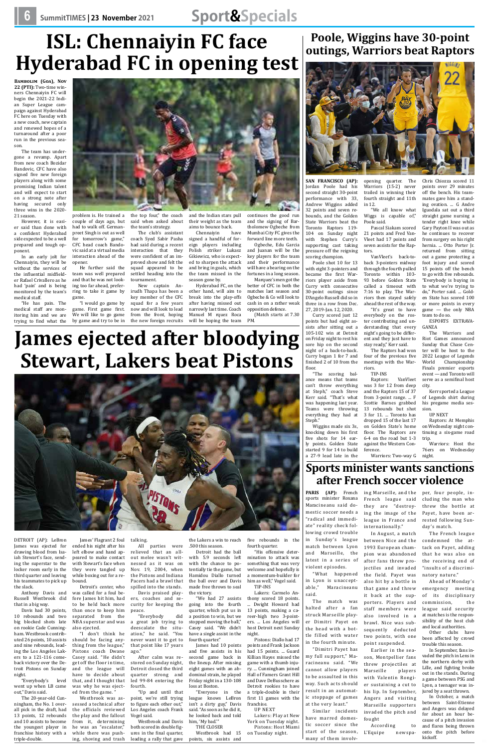# **6 SummitTIMES | 23 November 2021 Sport&Specials**

# **ISL: Chennaiyin FC face Hyderabad FC in opening test**

**Bambolim (Goa), Nov 22 (PTI):** Two-time winners Chennaiyin FC will begin the 2021-22 Indian Super League campaign against Hyderabad FC here on Tuesday with a new coach, new captain and renewed hopes of a turnaround after a poor run in the previous season.

The team has undergone a revamp. Apart from new coach Bozidar Bandovic, CFC have also signed five new foreign players along with some promising Indian talent and will expect to start on a strong note after having secured only three wins in the 2020- 21 season.

However, it is easier said than done with a confident Hyderabad side expected to be a well prepared and tough opponent.

In an early jolt for Chennaiyin, they will be without the services of the influential midfielder Rafael Crivallero as he had 'pain' and is being monitored by the team's medical staff.

"He has pain. The medical staff are monitoring him and we are trying to find what the



problem is. He trained a

couple of days ago, but had to walk off. Germanpreet Singh is out as well for tomorrow's game," CFC head coach Bandovic said at a virtual media interaction ahead of the opener.

He further said the team was well prepared and that he was not looking too far ahead, preferring to take it game by game.

the team's strategy.

"I would go game by game. First game first. We will like to go game by game and try to be in squad for a few years now and will look to lead from the front, hoping the new foreign recruits

the top four," the coach said when asked about and the Indian stars pull their weight as the team aims to bounce back.

tournament.



The club's assistant coach Syed Sabir Pasha had said during a recent interaction that they were confident of an improved show and felt the squad appeared to be settled heading into the Chennaiyin signed a handful of foreign players including Polish striker Lukasz Gikiewicz, who is expected to sharpen the attack and bring in goals, which the team missed in the season gone by.

New captain Anirudh Thapa has been a key member of the CFC Hyderabad FC, on the other hand, will aim to break into the play-offs after having missed out narrowly last time. Coach Manuel M rquez Roca will be hoping the team

ed from the game.' Westbrook was assessed a technical after the officials reviewed the play and the fallout from it, determining he was an "escalator," while there was pushing, shoving and trash continues the good run and the signing of Bartholomew Ogbeche from Mumbai City FC gives the forward line more teeth.

Ogbeche, Edu Garcia and Juanan will be the key players for the team and their performance will have a bearing on the fortunes in a long season. Marquez's men got the

better of CFC in both the matches last season and Ogbeche & Co will look to cash in on a rather weak opposition defence. (Match starts at 7.30

PM.

# **James ejected after bloodying Stewart, Lakers beat Pistons**

DETROIT (AP): LeBron James was ejected for drawing blood from Isaiah Stewart's face, sending the superstar to the locker room early in the third quarter and leaving his teammates to pick up the slack.

Anthony Davis and Russell Westbrook did that in a big way.

Davis had 30 points, 10 rebounds and two big blocked shots late on rookie Cade Cunningham. Westbrook contributed 26 points, 10 assists and nine rebounds, leading the Los Angeles Lakers to a 121-116 comeback victory over the Detroit Pistons on Sunday night.

"Everybody's level went up when LB came out," Davis said.

The 20-year-old Cunningham, the No. 1 overall pick in the draft, had 13 points, 12 rebounds and 10 assists to become the youngest player in franchise history with a triple-double.

ended his night after his left elbow and hand appeared to make contact with Stewart's face when they were tangled up while boxing out for a rebound. Detroit's center, who

was called for a foul before James hit him, had to be held back more than once to keep him separated from the

NBA superstar and was also ejected. "I don't think he should be facing any-

James' Flagrant 2 foul talking.

thing from the league," Pistons coach Dwane Casey said. "He didn't get off the floor in time, and the league will have to decide about that, and I thought that was why he was eject-

spilled into the stands.

ers, coaches and security for keeping the

peace.

"Everybody did a great job trying to deescalate the situation," he said. "You never want it to get to that point like 17 years

ago."

All parties were relieved that an all-.500 this season. Detroit had the ball

After calm was restored on Sunday night, Detroit closed the third quarter strong and led 99-84 entering the

out melee wasn't witnessed as it was on Nov. 19, 2004, when the Pistons and Indiana Pacers had a brawl that Davis praised playwith 5.9 seconds left with the chance to potentially tie the game, but Hamidou Diallo turned the ball over and Davis made free throws to seal the victory.

fourth.

"Up and until that point, we're still trying to figure each other out," Los Angeles coach Frank

Vogel said.

Westbrook and Davis both scored in double figures in the final quarter, leading a rally that gave

"We had 27 assists going into the fourth quarter, which put us in a position to win, but we stopped moving the ball," Casey said. "We didn't have a single assist in the fourth quarter."

the Lakers a win to reach five rebounds in the fourth quarter.

James had 10 points and five assists in his second game back in the lineup. After missing eight games with an abdominal strain, he played Friday night in a 130-108 loss at Boston.

"Everyone in the league knows LeBron isn't a dirty guy," Davis said. "As soon as he did it, he looked back and told him, 'My bad.'"

THE CLOSER

points, six assists and

"His offensive determination to attack was something that was very welcome and hopefully is a momentum-builder for him as well," Vogel said. TIP-INS

Lakers: Carmelo An-

### thony scored 18 points. ... Dwight Howard had 13 points, making a career-high two 3-pointers. ... Los Angeles will host Detroit next Sunday night. Pistons: Diallo had 17 points and Frank Jackson

Westbrook had 15 on Tuesday night.

had 15 points. ... Guard Killian Hayes missed the game with a thumb injury. ... Cunningham joined Hall of Famers Grant Hill and Dave DeBusschere as Detroit rookies to have

a triple-double in their first 11 games with the franchise.

UP NEXT

Lakers: Play at New York on Tuesday night. Pistons: Host Miami

# **Poole, Wiggins have 30-point outings, Warriors beat Raptors**



**SAN FRANCISCO (AP):** Jordan Poole had his second straight 30-point performance with 33, Andrew Wiggins added 32 points and seven rebounds, and the Golden State Warriors beat the Toronto Raptors 119- 104 on Sunday night with Stephen Curry's supporting cast taking pressure off the reigning scoring champion.

Poole shot 10 for 13 with eight 3-pointers and became the first Warriors player aside from Curry with consecutive 30-point outings since D'Angelo Russell did so in three in a row from Dec. 27, 2019-Jan. 12, 2020.

Curry scored just 12 points but had eight assists after sitting out a 105-102 win at Detroit on Friday night to rest his sore hip on the second night of a back-to-back. Curry began 1 for 7 and finished 2 of 10 from the floor.

"The scoring balance means that teams can't throw everything at Steph," coach Steve Kerr said. "That's what was happening last year. Teams were throwing everything they had at Steph."

opening quarter. The Warriors (15-2) never trailed in winning their fourth straight and 11th in 12.

"We all know what Wiggs is capable of," Poole said.

Pascal Siakam scored 21 points and Fred Van-Vleet had 17 points and seven assists for the Raptors.

VanVleet's back-toback 3-pointers midway through the fourth pulled Toronto within 103- 93 before Golden State called a timeout with 7:16 to play. The Warriors then stayed safely ahead the rest of the way. "It's great to have

Wiggins made six 3s, knocking down his first five shots for 14 early points. Golden State started 9 for 14 to build a 27-9 lead late in the ference.

everybody on the roster contributing and understanding that every night's going to be different and they just have to stay ready," Kerr said.

The Raptors had won four of the previous five meetings with the Warriors.

TIP-INS<br>Raptors:

Raptors: VanVleet was 3 for 12 from deep and the Raptors 15 of 37 from 3-point range. ... F Scottie Barnes grabbed 13 rebounds but shot 3 for 11. ... Toronto has dropped 15 of the last 17 on Golden State's home floor. The Raptors are 6-4 on the road but 1-3 against the Western Con-

Chris Chiozza scored 11 points over 29 minutes off the bench. His teammates gave him a standing ovation. ... G Andre Iguodala sat out a third straight game nursing a tender right knee while Gary Payton II was out as he continues to recover from surgery on his right hernia. ... Otto Porter Jr. returned from sitting out a game protecting a foot injury and scored 15 points off the bench to go with five rebounds. "Everybody is buying in to what we're trying to do," Porter said. ... Golden State has scored 100 or more points in every game — the only NBA

team to do so.

ESPORTS EXTRAVA-

GANZA

The Warriors and Riot Games announced Sunday that Chase Center will be host to the 2022 League of Legends World Championship Finals premier esports event — and Toronto will serve as a semifinal host

city.

Kerr sported a League of Legends shirt during his pregame media ses-

sion.

UP NEXT

Raptors: At Memphis on Wednesday night continuing a six-game road

trip.

Warriors: Host the 76ers on Wednesday night.

**Sports minister wants sanctions after French soccer violence**

Warriors: Two-way

**PARIS (AP):** French sports minister Roxana Maracineanu said domestic soccer needs a "radical and immediate" reality check following crowd trouble in Sunday's league match between Lyon and Marseille, the latest in a series of violent episodes.

"What happened in Lyon is unacceptable," Maracineanu said.

The match was halted after a fan struck Marseille player Dimitri Payet on the head with a bottle filled with water in the fourth minute.

"Dimitri Payet has my full support," Maracineanu said. "We cannot allow players to be assaulted in this way. Such acts should result in an automatic stoppage of games at the very least."

ing Marseille, and the French league said they are "destroying the image of the league in France and internationally." In August, a match between Nice and the 1993 European cham-

Similar incidents have marred domestic soccer since the start of the season, many of them involv-L'Equipe newspa-

staff members were also involved in a brawl. Nice was subsequently deducted two points, with one point suspended.

Earlier in the season, Montpellier fans threw projectiles at Marseille players with Valentin Rongier sustaining a cut to his lip. In September, Angers and visiting Marseille supporters invaded the pitch and

pion was abandoned after fans threw projectiles and invaded the field. Payet was also hit by a bottle in that game and threw it back at the supporters. Players and The French league condemned the attack on Payet, adding that he was also on the receiving end of "insults of a discriminatory nature." Ahead of Monday's emergency meeting of its disciplinary

fought

According to

per, four people, including the man who threw the bottle at Payet, have been arrested following Sunday's match.

commission, the league said security at matches is the responsibility of the host club and local authorities.

Other clubs have been affected by crowd trouble this season.

In September, fans invaded the pitch in Lens in the northern derby with Lille, and fighting broke out in the stands. During a game between PSG and Lyon, a teenager was injured by a seat thrown.

In October, a match between Saint-Etienne and Angers was delayed for about an hour because of a pitch invasion and flares being thrown onto the pitch before kickoff.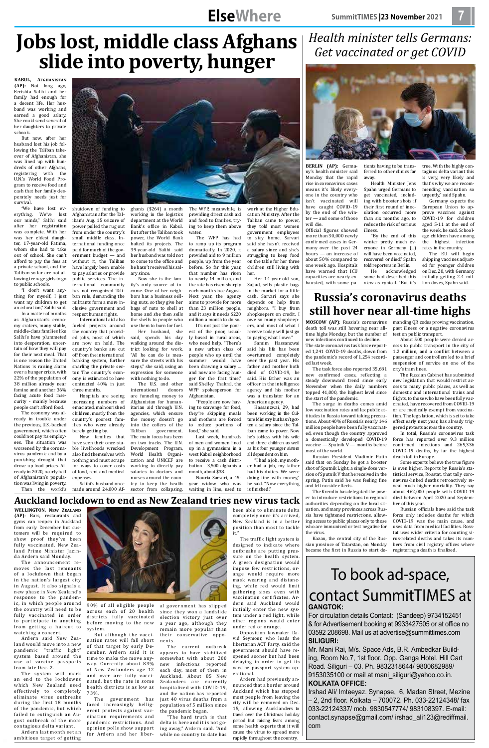## contact SummitTimes at GANGTOK:

To book ad-space,

For circulation details Contact: (Sandeep) 9734152451 & for Advertisement booking at 9933427505 or at office no 03592 208698. Mail us at advertise@summittimes.com **Siliguri:**

Mr. Mani Rai, M/s. Space Ads, B.R. Ambedkar Building, Room No.7, 1st floor. Opp. Ganga Hotel. Hill Cart Road. Siliguri – 03. Ph. 9832318644/ 9800682989/ 9153035100 or mail at mani siliguri@yahoo.co.in. **Kolkata office:**

Irshad Ali/ Imteeyaz. Synapse, 6, Madan Street, Mezine – 2, 2nd floor. Kolkata – 700072. Ph. 033-22124348/ fax 033-22124337/ mob. 9830547774/ 983108397. E-mail: contact.synapse@gmail.com/ irshad\_ali123@rediffmail. com

# **ElseWhere**

# **Jobs lost, middle class Afghans slide into poverty, hunger**

**KABUL, Afghanistan (AP):** Not long ago, Ferishta Salihi and her family had enough for a decent life. Her husband was working and earned a good salary. She could send several of her daughters to private schools.

But now, after her husband lost his job following the Taliban takeover of Afghanistan, she was lined up with hundreds of other Afghans, registering with the U.N.'s World Food Program to receive food and cash that her family desperately needs just for survival.

"We have lost everything. We've lost our minds," Salihi said after her registration was complete. With her was her eldest daughter, 17-year-old Fatima, whom she had to take out of school. She can't afford to pay the fees at a private school, and the Taliban so far are not allowing teenage girls to go to public schools.

"I don't want anything for myself, I just want my children to get an education," Salihi said.

In a matter of months as Afghanistan's economy craters, many stable, middle-class families like Salihi's have plummeted into desperation, uncertain of how they will pay for their next meal. That is one reason the United Nations is raising alarm over a hunger crisis, with 22% of the population of 38 million already near famine and another 36% facing acute food insecurity - mainly because people can't afford food.

are funneling money to Afghanistan for humanitarian aid through U.N. agencies, which ensure the money doesn't go into the coffers of the<br>Taliban government.

The economy was already in trouble under the previous, U.S.-backed government, which often could not pay its employees. The situation was worsened by the coronavirus pandemic and by a



punishing drought that drove up food prices. Already in 2020, nearly half of Afghanistan's population was living in poverty. Then the world's

shutdown of funding to Afghanistan after the Taliban's Aug. 15 seizure of power pulled the rug out from under the country's small middle class. International funding once paid for much of the government budget — and without it, the Taliban have largely been unable to pay salaries or provide public services. The international community has not recognized Taliban rule, demanding the militants form a more inclusive government and

respect human rights. International aid also fueled projects around the country that provided jobs, most of which are now on hold. The country's banks are cut off from the international banking system, further snarling the private sector. The country's economy is estimated to have contracted 40% in just three months.

Hospitals are seeing increasing numbers of emaciated, malnourished children, mostly from the country's poorest families who were already barely getting by.

Now families that have seen their once-stable livelihoods wrecked also find themselves with

nothing and must scrape for ways to cover costs of food, rent and medical expenses.

Salihi's husband once made around 24,000 Af-

halted its projects. The 39-year-old Salihi said her husband was told not to come to the office and he hasn't received his sal-

ary since.

Now she is the family's only source of income. One of her neighbors has a business selling nuts, so they give her bags of nuts to shell at home and she then sells the shells to people who use them to burn for fuel. Her husband, she said, spends his day walking around the district looking for work. "All he can do is measure the streets with his steps," she said, using an expression for someone with nothing to do.

The U.S. and other<br>ernational donors

government.

ghanis (\$264) a month working in the logistics department at the World Bank's office in Kabul. But after the Taliban took power, the World Bank The WFP, meanwhile, is providing direct cash aid and food to families, trying to keep them above water.

The main focus has been on two tracks. The U.N. Development Program, World Health Organi-

international

zation and UNICEF are working to directly pay salaries to doctors and nurses around the country to keep the health sector from collapsing.

The WFP has had to ramp up its program dramatically. In 2020, it provided aid to 9 million people, up from the year before. So far this year, that number has risen to nearly 14 million, and the rate has risen sharply each month since August. Next year, the agency aims to provide for more than 23 million people, and it says it needs \$220 million a month to do so.

It's not just the poorest of the poor, usually based in rural areas, who need help. "There's a new urban class of people who up until the summer would have been drawing a salary ... and now are facing hunger for the first time," said Shelley Thakral, the WFP spokesperson for Afghanistan.

"People are now having to scavenge for food, they're skipping meals and mothers are forced to reduce portions of food," she said.

Last week, hundreds of men and women lined up in a gymnasium in a west Kabul neighborhood

to receive a cash distribution - 3,500 afghanis a month, about \$38. Nouria Sarvari, a 45 year widow who was

work at the Higher Education Ministry. After the Taliban came to power, they told most women government employees to stay home. Sarvari said she hasn't received a salary since and she's struggling to keep food on the table for her three children still living with

her. Her 14-year-old son, Sajjad, sells plastic bags in the market for a little cash. Sarvari says she depends on help from neighbors. "I buy from shopkeepers on credit. I owe so many shopkeepers, and most of what I receive today will just go

waiting in line, used to "I had a job, my mother had a job, my father had his duties. We were doing fine with money," he said. "Now everything is finished."

to paying what I owe." Samim Hassanzwai said his life has been overturned completely over the past year. His father and mother both died of COVID-19, he said. His father was an officer in the intelligence agency and his mother was a translator for an American agency.

Hassanzwai, 29, had been working in the Culture Ministry but hasn't gotten a salary since the Taliban came to power. Now he's jobless with his wife and three children as well as his four younger sisters all dependent on him.

### **Auckland lockdown to end as New Zealand tries new virus tack**

**WELLINGTON, New Zealand (AP)**: Bars, restaurants and gyms can reopen in Auckland from early December but customers will be required to show proof they've been fully vaccinated, New Zealand Prime Minister Jacinda Ardern said Monday.

The announcement removes the last remnants of a lockdown that began in the nation's largest city in August. It also signals a new phase in New Zealand's response to the pandemic, in which people around the country will need to be fully vaccinated in order to participate in anything from getting a haircut to watching a concert.

Ardern said New Zealand would move into a new pandemic "traffic light" system based around the use of vaccine passports from late Dec. 2.

The system will mark an end to the lockdowns which New Zealand used effectively to completely eliminate virus outbreaks during the first 18 months of the pandemic, but which failed to extinguish an August outbreak of the more contagious delta variant.

Ardern last month set an ambitious target of getting



90% of all eligible people across each of 20 health districts fully vaccinated before moving to the new system.

But although the vaccination rates will fall short of that target by early December, Ardern said it is time to make the move anyway. Currently about 83% of New Zealanders age 12 and over are fully vaccinated, but the rate in some health districts is as low as 73%.

The government has faced increasingly belligerent protests against vaccination requirements and pandemic restrictions. And opinion polls show support for Ardern and her liber-

al government has slipped since they won a landslide election victory just over a year ago, although they remain more popular than their conservative opponents.

The current outbreak appears to have stabilized somewhat with about 200 new infections reported each day, most of them in Auckland. About 85 New Zealanders are currently hospitalized with COVID-19, and the nation has reported just 40 virus deaths from a population of 5 million since the pandemic began.

"The hard truth is that delta is here and it is not going away," Ardern said. "And while no country to date has

been able to eliminate delta completely once it's arrived, New Zealand is in a better position than most to tackle it."

The traffic light system is designed to indicate where outbreaks are putting pressure on the health system. A green designation would impose few restrictions, orange would require more mask wearing and distancing, while red would limit gathering sizes even with vaccination certificates. Ardern said Auckland would initially enter the new system under a red light, while other regions would enter under red or orange.

Opposition lawmaker David Seymour, who leads the libertarian ACT Party, said the government should have reopened sooner but had been delaying in order to get its vaccine passport system operational.

Ardern had previously announced that a border around Auckland which has stopped most people from leaving the city will be removed on Dec. 15, allowing Aucklanders to travel over the Christmas holiday period but raising fears among some health experts that it will cause the virus to spread more rapidly throughout the country.

*Health minister tells Germans:* 

*Get vaccinated or get COVID*

**BERLIN (AP):** Germany's health minister said Monday that the rapid rise in coronavirus cases means it's likely everyone in the country who isn't vaccinated will have caught COVID-19 by the end of the winter — and some of those will die.

Official figures showed more than 30,000 newly confirmed cases in Germany over the past 24 hours — an increase of about 50% compared to one week ago. Hospitals capacities are nearly ex-

have warned that ICU

hausted, with some pa-

tients having to be transferred to other clinics far away.

illness.

Health Minister Jens Spahn urged Germans to get vaccinated, including with booster shots if their first round of inoculation occurred more is very, very likely and that's why we are recommending vaccination so urgently," said Spahn. European Union to ap-

true. With the highly contagious delta variant this

than six months ago, to reduce the risk of serious "By the end of this winter pretty much everyone in Germany (...) will have been vaccinated, recovered or died," Spahn prove vaccines against COVID-19 for children aged 5-11 at the end of the week, he said. Schoolage children have among the highest infection rates in the country. The EU will begin

Germany expects the

told reporters in Berlin. He acknowledged some had described this view as cynical. "But it's shipping vaccines adjusted for younger children on Dec. 20, with Germany initially getting 2.4 million doses, Spahn said.

## **Russia's coronavirus deaths still hover near all-time highs**

death toll was still hovering near alltime highs Monday, but the number of new infections continued to decline.

The state coronavirus task force reported 1,241 COVID-19 deaths, down from the pandemic's record of 1,254 recorded last week.

The task force also reported 35,681 new confirmed cases, reflecting a steady downward trend since early November when the daily numbers topped 41,000, the highest level since the start of the pandemic.

The surge in deaths comes amid low vaccination rates and lax public attitudes in Russia toward taking precautions. About 40% of Russia's nearly 146 million people have been fully vaccinated, even though the country approved a domestically developed COVID-19 vaccine — Sputnik V — months before most of the world.

**MOSCOW (AP)**: Russia's coronavirus manding QR codes proving vaccination, past illness or a negative coronavirus test on public transport.

Russian President Vladimir Putin said that on Sunday he got a booster shot of Sputnik Light, a single-dose version of Sputnik V that he received in the spring. Putin said he was feeling fine and felt no side effects.

The Kremlin has delegated the power to introduce restrictions to regional authorities depending on the local situation, and many provinces across Russia have tightened restrictions, allowing access to public places only to those who are immunized or test negative for the virus.

Kazan, the central city of the Russian province of Tatarstan, on Monday became the first in Russia to start de-

About 500 people were denied access to public transport in the city of 1.2 million, and a conflict between a passenger and controllers led to a brief suspension of service on one of the city's tram lines.

The Russian Cabinet has submitted new legislation that would restrict access to many public places, as well as domestic and international trains and flights, to those who have been fully vaccinated, have recovered from COVID-19 or are medically exempt from vaccination. The legislation, which is set to take effect early next year, has already triggered protests across the country.

In total, Russia's coronavirus task force has reported over 9.3 million confirmed infections and 265,336 COVID-19 deaths, by far the highest

death toll in Europe.

Some experts believe the true figure is even higher. Reports by Russia's statistical service, Rosstat, that tally coronavirus-linked deaths retroactively reveal much higher mortality. They say about 462,000 people with COVID-19 died between April 2020 and September of this year.

Russian officials have said the task force only includes deaths for which COVID-19 was the main cause, and uses data from medical facilities. Rosstat uses wider criteria for counting virus-related deaths and takes its numbers from civil registry offices where registering a death is finalized.